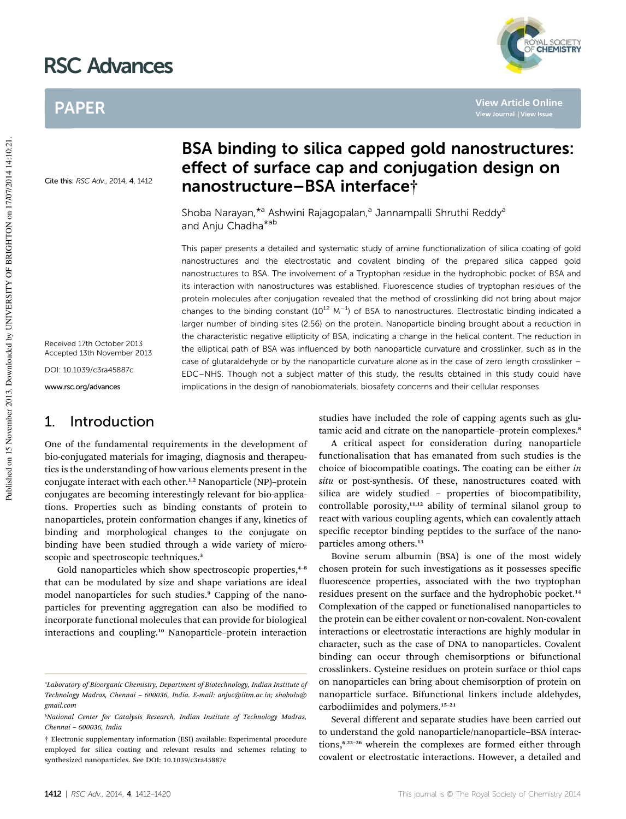# RSC Advances

## PAPER

Cite this: RSC Adv., 2014, 4, 1412

Received 17th October 2013 Accepted 13th November 2013

DOI: 10.1039/c3ra45887c

www.rsc.org/advances

### 1. Introduction

One of the fundamental requirements in the development of bio-conjugated materials for imaging, diagnosis and therapeutics is the understanding of how various elements present in the conjugate interact with each other.<sup>1,2</sup> Nanoparticle (NP)-protein conjugates are becoming interestingly relevant for bio-applications. Properties such as binding constants of protein to nanoparticles, protein conformation changes if any, kinetics of binding and morphological changes to the conjugate on binding have been studied through a wide variety of microscopic and spectroscopic techniques.<sup>3</sup>

Gold nanoparticles which show spectroscopic properties,<sup>4-8</sup> that can be modulated by size and shape variations are ideal model nanoparticles for such studies.<sup>9</sup> Capping of the nanoparticles for preventing aggregation can also be modified to incorporate functional molecules that can provide for biological interactions and coupling.<sup>10</sup> Nanoparticle–protein interaction

## BSA binding to silica capped gold nanostructures: effect of surface cap and conjugation design on nanostructure–BSA interface†

Shoba Narayan, \*<sup>a</sup> Ashwini Rajagopalan,<sup>a</sup> Jannampalli Shruthi Reddy<sup>a</sup> and Anju Chadha<sup>\*ab</sup>

This paper presents a detailed and systematic study of amine functionalization of silica coating of gold nanostructures and the electrostatic and covalent binding of the prepared silica capped gold nanostructures to BSA. The involvement of a Tryptophan residue in the hydrophobic pocket of BSA and its interaction with nanostructures was established. Fluorescence studies of tryptophan residues of the protein molecules after conjugation revealed that the method of crosslinking did not bring about major changes to the binding constant  $(10^{12} \text{ M}^{-1})$  of BSA to nanostructures. Electrostatic binding indicated a larger number of binding sites (2.56) on the protein. Nanoparticle binding brought about a reduction in the characteristic negative ellipticity of BSA, indicating a change in the helical content. The reduction in the elliptical path of BSA was influenced by both nanoparticle curvature and crosslinker, such as in the case of glutaraldehyde or by the nanoparticle curvature alone as in the case of zero length crosslinker – EDC–NHS. Though not a subject matter of this study, the results obtained in this study could have implications in the design of nanobiomaterials, biosafety concerns and their cellular responses.

> studies have included the role of capping agents such as glutamic acid and citrate on the nanoparticle–protein complexes.<sup>8</sup>

> A critical aspect for consideration during nanoparticle functionalisation that has emanated from such studies is the choice of biocompatible coatings. The coating can be either *in situ* or post-synthesis. Of these, nanostructures coated with silica are widely studied – properties of biocompatibility, controllable porosity, $11,12$  ability of terminal silanol group to react with various coupling agents, which can covalently attach specific receptor binding peptides to the surface of the nanoparticles among others.<sup>13</sup>

> Bovine serum albumin (BSA) is one of the most widely chosen protein for such investigations as it possesses specific fluorescence properties, associated with the two tryptophan residues present on the surface and the hydrophobic pocket.<sup>14</sup> Complexation of the capped or functionalised nanoparticles to the protein can be either covalent or non-covalent. Non-covalent interactions or electrostatic interactions are highly modular in character, such as the case of DNA to nanoparticles. Covalent binding can occur through chemisorptions or bifunctional crosslinkers. Cysteine residues on protein surface or thiol caps on nanoparticles can bring about chemisorption of protein on nanoparticle surface. Bifunctional linkers include aldehydes, carbodiimides and polymers.<sup>15</sup>–<sup>21</sup>

> Several different and separate studies have been carried out to understand the gold nanoparticle/nanoparticle–BSA interactions,<sup>6,22–26</sup> wherein the complexes are formed either through covalent or electrostatic interactions. However, a detailed and

**YAL SOCIETY** 

**View Article Online**

*<sup>a</sup>Laboratory of Bioorganic Chemistry, Department of Biotechnology, Indian Institute of Technology Madras, Chennai* – *600036, India. E-mail: anjuc@iitm.ac.in; shobulu@ gmail.com*

*<sup>b</sup>National Center for Catalysis Research, Indian Institute of Technology Madras, Chennai* – *600036, India*

<sup>†</sup> Electronic supplementary information (ESI) available: Experimental procedure employed for silica coating and relevant results and schemes relating to synthesized nanoparticles. See DOI: 10.1039/c3ra45887c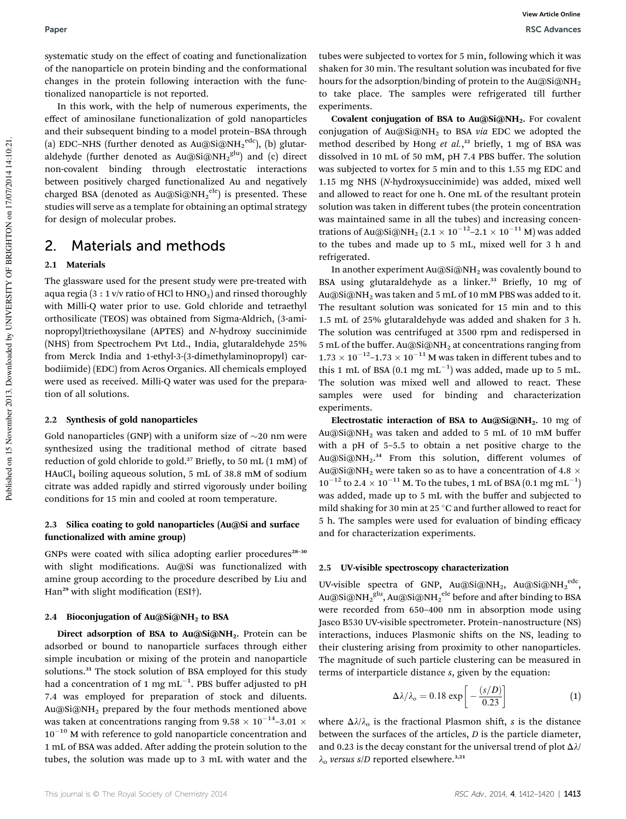systematic study on the effect of coating and functionalization of the nanoparticle on protein binding and the conformational changes in the protein following interaction with the functionalized nanoparticle is not reported.

In this work, with the help of numerous experiments, the effect of aminosilane functionalization of gold nanoparticles and their subsequent binding to a model protein–BSA through (a) EDC–NHS (further denoted as Au@Si@NH2 $^{\rm edc}$ ), (b) glutaraldehyde (further denoted as Au@Si@NH $_2^{\,\mathrm{glu}}$ ) and (c) direct non-covalent binding through electrostatic interactions between positively charged functionalized Au and negatively charged BSA (denoted as  $Au@Si@NH_2^{ele}$ ) is presented. These studies will serve as a template for obtaining an optimal strategy for design of molecular probes.

### 2. Materials and methods

#### 2.1 Materials

The glassware used for the present study were pre-treated with aqua regia (3 : 1 v/v ratio of HCl to  $HNO<sub>3</sub>$ ) and rinsed thoroughly with Milli-Q water prior to use. Gold chloride and tetraethyl orthosilicate (TEOS) was obtained from Sigma-Aldrich, (3-aminopropyl)triethoxysilane (APTES) and *N*-hydroxy succinimide (NHS) from Spectrochem Pvt Ltd., India, glutaraldehyde 25% from Merck India and 1-ethyl-3-(3-dimethylaminopropyl) carbodiimide) (EDC) from Acros Organics. All chemicals employed were used as received. Milli-Q water was used for the preparation of all solutions.

#### 2.2 Synthesis of gold nanoparticles

Gold nanoparticles (GNP) with a uniform size of  $\sim$ 20 nm were synthesized using the traditional method of citrate based reduction of gold chloride to gold.<sup>27</sup> Briefly, to 50 mL (1 mM) of HAuCl<sup>4</sup> boiling aqueous solution, 5 mL of 38.8 mM of sodium citrate was added rapidly and stirred vigorously under boiling conditions for 15 min and cooled at room temperature.

#### 2.3 Silica coating to gold nanoparticles (Au@Si and surface functionalized with amine group)

GNPs were coated with silica adopting earlier procedures $28-30$ with slight modifications. Au@Si was functionalized with amine group according to the procedure described by Liu and Han<sup>29</sup> with slight modification (ESI†).

#### 2.4 Bioconjugation of  $Au@Si@NH<sub>2</sub>$  to BSA

Direct adsorption of BSA to Au@Si@NH<sub>2</sub>. Protein can be adsorbed or bound to nanoparticle surfaces through either simple incubation or mixing of the protein and nanoparticle solutions.<sup>31</sup> The stock solution of BSA employed for this study had a concentration of 1 mg mL $^{-1}\!.$  PBS buffer adjusted to pH 7.4 was employed for preparation of stock and diluents. Au@Si@NH<sup>2</sup> prepared by the four methods mentioned above was taken at concentrations ranging from 9.58  $\times$  10 $^{-14}$ –3.01  $\times$  $10^{-10}$  M with reference to gold nanoparticle concentration and 1 mL of BSA was added. After adding the protein solution to the tubes, the solution was made up to 3 mL with water and the

tubes were subjected to vortex for 5 min, following which it was shaken for 30 min. The resultant solution was incubated for five hours for the adsorption/binding of protein to the Au@Si@NH<sub>2</sub> to take place. The samples were refrigerated till further experiments.

Covalent conjugation of BSA to Au@Si@NH<sub>2</sub>. For covalent conjugation of Au@Si@NH<sup>2</sup> to BSA *via* EDC we adopted the method described by Hong et al.,<sup>32</sup> briefly, 1 mg of BSA was dissolved in 10 mL of 50 mM, pH 7.4 PBS buffer. The solution was subjected to vortex for 5 min and to this 1.55 mg EDC and 1.15 mg NHS (*N*-hydroxysuccinimide) was added, mixed well and allowed to react for one h. One mL of the resultant protein solution was taken in different tubes (the protein concentration was maintained same in all the tubes) and increasing concentrations of Au@Si@NH $_2$  (2.1  $\times$  10 $^{-12}$ –2.1  $\times$  10 $^{-11}$  M) was added to the tubes and made up to 5 mL, mixed well for 3 h and refrigerated.

In another experiment  $Au@Si@NH<sub>2</sub>$  was covalently bound to BSA using glutaraldehyde as a linker.<sup>33</sup> Briefly, 10 mg of Au@Si@NH<sup>2</sup> was taken and 5 mL of 10 mM PBS was added to it. The resultant solution was sonicated for 15 min and to this 1.5 mL of 25% glutaraldehyde was added and shaken for 3 h. The solution was centrifuged at 3500 rpm and redispersed in 5 mL of the buffer. Au@Si@NH<sub>2</sub> at concentrations ranging from  $1.73 \times 10^{-12}$ –1.73  $\times$  10<sup>–11</sup> M was taken in different tubes and to this 1 mL of BSA  $(0.1 \text{ mg} \text{ mL}^{-1})$  was added, made up to 5 mL. The solution was mixed well and allowed to react. These samples were used for binding and characterization experiments.

Electrostatic interaction of BSA to Au@Si@NH<sub>2</sub>. 10 mg of Au@Si@NH<sup>2</sup> was taken and added to 5 mL of 10 mM buffer with a pH of 5–5.5 to obtain a net positive charge to the Au@Si@NH2. <sup>34</sup> From this solution, different volumes of Au@Si@NH<sub>2</sub> were taken so as to have a concentration of 4.8  $\times$  $10^{-12}$  to 2.4  $\times$   $10^{-11}$  M. To the tubes, 1 mL of BSA  $(0.1 \text{ mg} \text{ mL}^{-1})$ was added, made up to 5 mL with the buffer and subjected to mild shaking for 30 min at 25  $\degree$ C and further allowed to react for 5 h. The samples were used for evaluation of binding efficacy and for characterization experiments.

### 2.5 UV-visible spectroscopy characterization

UV-visible spectra of GNP, Au@Si@NH<sub>2</sub>, Au@Si@NH<sub>2</sub><sup>edc</sup>, Au@Si@NH $_2^{\,\mathrm{glu}}$ , Au@Si@NH $_2^{\,\mathrm{ele}}$  before and after binding to BSA were recorded from 650–400 nm in absorption mode using Jasco B530 UV-visible spectrometer. Protein–nanostructure (NS) interactions, induces Plasmonic shifts on the NS, leading to their clustering arising from proximity to other nanoparticles. The magnitude of such particle clustering can be measured in terms of interparticle distance *s*, given by the equation:

$$
\Delta\lambda/\lambda_{\text{o}} = 0.18 \exp\left[-\frac{(s/D)}{0.23}\right] \tag{1}
$$

where  $\Delta\lambda/\lambda_0$  is the fractional Plasmon shift, *s* is the distance between the surfaces of the articles, *D* is the particle diameter, and 0.23 is the decay constant for the universal trend of plot  $\Delta\lambda$ /  $\lambda$ <sub>o</sub> versus s/D reported elsewhere.<sup>3,21</sup>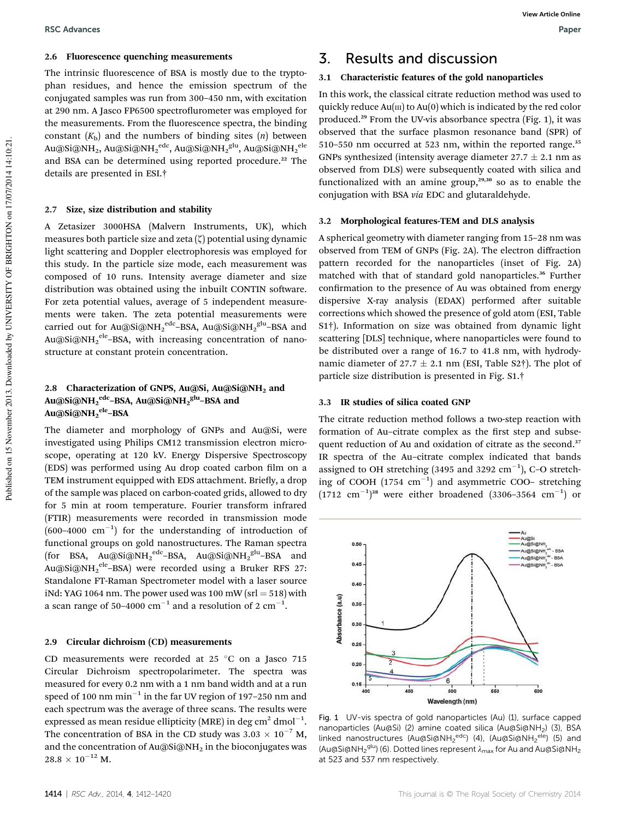#### 2.6 Fluorescence quenching measurements

The intrinsic fluorescence of BSA is mostly due to the tryptophan residues, and hence the emission spectrum of the conjugated samples was run from 300–450 nm, with excitation at 290 nm. A Jasco FP6500 spectroflurometer was employed for the measurements. From the fluorescence spectra, the binding constant  $(K_b)$  and the numbers of binding sites  $(n)$  between Au@Si@NH<sub>2</sub>, Au@Si@NH2 $^{\rm edc}$ , Au@Si@NH2 $^{\rm glu}$ , Au@Si@NH2 $^{\rm ele}$ and BSA can be determined using reported procedure.<sup>22</sup> The details are presented in ESI.†

#### 2.7 Size, size distribution and stability

A Zetasizer 3000HSA (Malvern Instruments, UK), which measures both particle size and zeta  $(\zeta)$  potential using dynamic light scattering and Doppler electrophoresis was employed for this study. In the particle size mode, each measurement was composed of 10 runs. Intensity average diameter and size distribution was obtained using the inbuilt CONTIN software. For zeta potential values, average of 5 independent measurements were taken. The zeta potential measurements were carried out for Au@Si@NH2<sup>edc</sup>–BSA, Au@Si@NH2<sup>glu</sup>–BSA and Au@Si@NH2<sup>ele</sup>–BSA, with increasing concentration of nanostructure at constant protein concentration.

#### 2.8 Characterization of GNPS, Au@Si, Au@Si@NH<sub>2</sub> and Au@Si@NH2<sup>edc</sup>–BSA, Au@Si@NH2<sup>glu</sup>–BSA and Au@Si@NH2<sup>ele</sup>–BSA

The diameter and morphology of GNPs and Au@Si, were investigated using Philips CM12 transmission electron microscope, operating at 120 kV. Energy Dispersive Spectroscopy (EDS) was performed using Au drop coated carbon film on a TEM instrument equipped with EDS attachment. Briefly, a drop of the sample was placed on carbon-coated grids, allowed to dry for 5 min at room temperature. Fourier transform infrared (FTIR) measurements were recorded in transmission mode  $(600-4000 \text{ cm}^{-1})$  for the understanding of introduction of functional groups on gold nanostructures. The Raman spectra (for BSA, Au@Si@NH2<sup>edc</sup>–BSA, Au@Si@NH2<sup>glu</sup>–BSA and Au@Si@NH2<sup>ele\_</sup>BSA) were recorded using a Bruker RFS 27: Standalone FT-Raman Spectrometer model with a laser source iNd: YAG 1064 nm. The power used was 100 mW ( $srl = 518$ ) with a scan range of 50–4000  $\mathrm{cm}^{-1}$  and a resolution of 2  $\mathrm{cm}^{-1}.$ 

#### 2.9 Circular dichroism (CD) measurements

CD measurements were recorded at 25  $^{\circ}$ C on a Jasco 715 Circular Dichroism spectropolarimeter. The spectra was measured for every 0.2 nm with a 1 nm band width and at a run speed of 100 nm  $\mathrm{min}^{-1}$  in the far UV region of 197–250 nm and each spectrum was the average of three scans. The results were expressed as mean residue ellipticity (MRE) in deg  $\rm cm^2$  dmol $^{-1}$ . The concentration of BSA in the CD study was  $3.03 \times 10^{-7}$  M, and the concentration of  $Au@Si@NH<sub>2</sub>$  in the bioconjugates was  $28.8\,\times\,10^{-12}$  M.

### 3. Results and discussion

#### 3.1 Characteristic features of the gold nanoparticles

In this work, the classical citrate reduction method was used to quickly reduce  $Au(m)$  to  $Au(0)$  which is indicated by the red color produced.<sup>29</sup> From the UV-vis absorbance spectra (Fig. 1), it was observed that the surface plasmon resonance band (SPR) of 510–550 nm occurred at 523 nm, within the reported range. $35$ GNPs synthesized (intensity average diameter  $27.7 \pm 2.1$  nm as observed from DLS) were subsequently coated with silica and functionalized with an amine group, $29,30$  so as to enable the conjugation with BSA *via* EDC and glutaraldehyde.

#### 3.2 Morphological features-TEM and DLS analysis

A spherical geometry with diameter ranging from 15–28 nm was observed from TEM of GNPs (Fig. 2A). The electron diffraction pattern recorded for the nanoparticles (inset of Fig. 2A) matched with that of standard gold nanoparticles.<sup>36</sup> Further confirmation to the presence of Au was obtained from energy dispersive X-ray analysis (EDAX) performed after suitable corrections which showed the presence of gold atom (ESI, Table S1†). Information on size was obtained from dynamic light scattering [DLS] technique, where nanoparticles were found to be distributed over a range of 16.7 to 41.8 nm, with hydrodynamic diameter of 27.7  $\pm$  2.1 nm (ESI, Table S2†). The plot of particle size distribution is presented in Fig. S1.†

#### 3.3 IR studies of silica coated GNP

The citrate reduction method follows a two-step reaction with formation of Au–citrate complex as the first step and subsequent reduction of Au and oxidation of citrate as the second.<sup>37</sup> IR spectra of the Au–citrate complex indicated that bands assigned to OH stretching (3495 and 3292  $cm^{-1}$ ), C-O stretching of COOH  $(1754 \text{ cm}^{-1})$  and asymmetric COO- stretching  $(1712 \text{ cm}^{-1})^{38}$  were either broadened  $(3306 - 3564 \text{ cm}^{-1})$  or



Fig. 1 UV-vis spectra of gold nanoparticles (Au) (1), surface capped nanoparticles (Au@Si) (2) amine coated silica (Au@Si@NH<sub>2</sub>) (3), BSA linked nanostructures (Au@Si@NH<sub>2</sub><sup>edc</sup>) (4), (Au@Si@NH<sub>2</sub><sup>ele</sup>) (5) and (Au@Si@NH<sub>2</sub><sup>glu</sup>) (6). Dotted lines represent  $\lambda_{\text{max}}$  for Au and Au@Si@NH<sub>2</sub> at 523 and 537 nm respectively.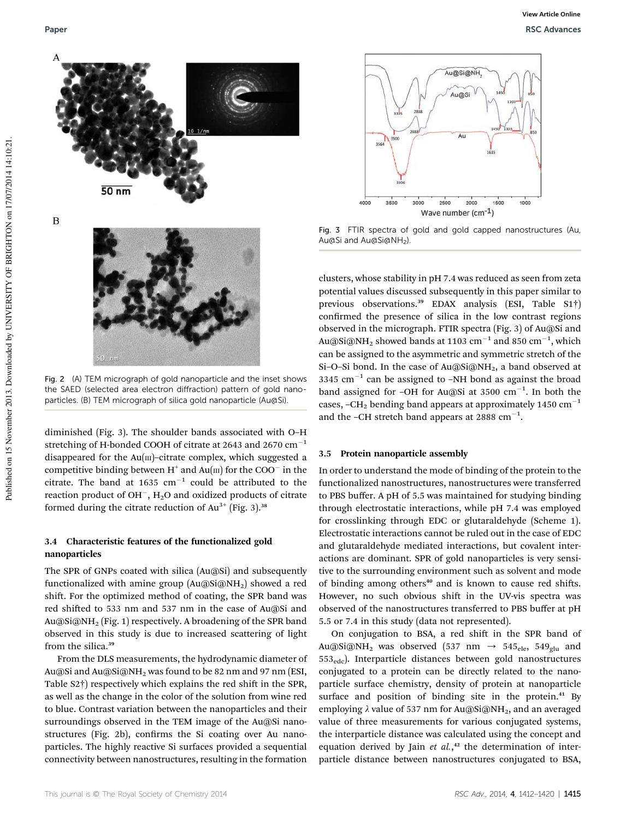

Fig. 2 (A) TEM micrograph of gold nanoparticle and the inset shows the SAED (selected area electron diffraction) pattern of gold nanoparticles. (B) TEM micrograph of silica gold nanoparticle (Au@Si).

diminished (Fig. 3). The shoulder bands associated with O–H stretching of H-bonded COOH of citrate at 2643 and 2670  $\text{cm}^{-1}$ disappeared for the  $Au(m)$ –citrate complex, which suggested a competitive binding between  $H^+$  and  $Au(m)$  for the COO $^-$  in the citrate. The band at 1635  $cm^{-1}$  could be attributed to the reaction product of OH<sup>-</sup>,  $\text{H}_{2}\text{O}$  and oxidized products of citrate formed during the citrate reduction of  $Au^{3+}$  (Fig. 3).<sup>38</sup>

#### 3.4 Characteristic features of the functionalized gold nanoparticles

The SPR of GNPs coated with silica (Au@Si) and subsequently functionalized with amine group  $(Au@Si@NH<sub>2</sub>)$  showed a red shift. For the optimized method of coating, the SPR band was red shifted to 533 nm and 537 nm in the case of Au@Si and Au@Si@NH<sup>2</sup> (Fig. 1) respectively. A broadening of the SPR band observed in this study is due to increased scattering of light from the silica.<sup>39</sup>

From the DLS measurements, the hydrodynamic diameter of Au@Si and Au@Si@NH<sup>2</sup> was found to be 82 nm and 97 nm (ESI, Table S2†) respectively which explains the red shift in the SPR, as well as the change in the color of the solution from wine red to blue. Contrast variation between the nanoparticles and their surroundings observed in the TEM image of the Au@Si nanostructures (Fig. 2b), confirms the Si coating over Au nanoparticles. The highly reactive Si surfaces provided a sequential connectivity between nanostructures, resulting in the formation



Fig. 3 FTIR spectra of gold and gold capped nanostructures (Au, Au@Si and Au@Si@NH<sub>2</sub>).

clusters, whose stability in pH 7.4 was reduced as seen from zeta potential values discussed subsequently in this paper similar to previous observations.<sup>39</sup> EDAX analysis (ESI, Table S1<sup>†</sup>) confirmed the presence of silica in the low contrast regions observed in the micrograph. FTIR spectra (Fig. 3) of Au@Si and Au@Si@NH $_{\rm 2}$  showed bands at 1103  $\rm cm^{-1}$  and 850  $\rm cm^{-1},$  which can be assigned to the asymmetric and symmetric stretch of the Si-O-Si bond. In the case of Au@Si@NH<sub>2</sub>, a band observed at 3345  $\text{cm}^{-1}$  can be assigned to -NH bond as against the broad band assigned for -OH for Au@Si at 3500  $cm^{-1}$ . In both the cases,  $-CH_2$  bending band appears at approximately 1450 cm<sup>-1</sup> and the -CH stretch band appears at 2888  $cm^{-1}$ .

#### 3.5 Protein nanoparticle assembly

In order to understand the mode of binding of the protein to the functionalized nanostructures, nanostructures were transferred to PBS buffer. A pH of 5.5 was maintained for studying binding through electrostatic interactions, while pH 7.4 was employed for crosslinking through EDC or glutaraldehyde (Scheme 1). Electrostatic interactions cannot be ruled out in the case of EDC and glutaraldehyde mediated interactions, but covalent interactions are dominant. SPR of gold nanoparticles is very sensitive to the surrounding environment such as solvent and mode of binding among others<sup>40</sup> and is known to cause red shifts. However, no such obvious shift in the UV-vis spectra was observed of the nanostructures transferred to PBS buffer at pH 5.5 or 7.4 in this study (data not represented).

On conjugation to BSA, a red shift in the SPR band of Au@Si@NH<sub>2</sub> was observed (537 nm  $\rightarrow$  545<sub>ele</sub>, 549<sub>glu</sub> and 553edc). Interparticle distances between gold nanostructures conjugated to a protein can be directly related to the nanoparticle surface chemistry, density of protein at nanoparticle surface and position of binding site in the protein.<sup>41</sup> By employing  $\lambda$  value of 537 nm for Au@Si@NH<sub>2</sub>, and an averaged value of three measurements for various conjugated systems, the interparticle distance was calculated using the concept and equation derived by Jain *et al.*, <sup>42</sup> the determination of interparticle distance between nanostructures conjugated to BSA,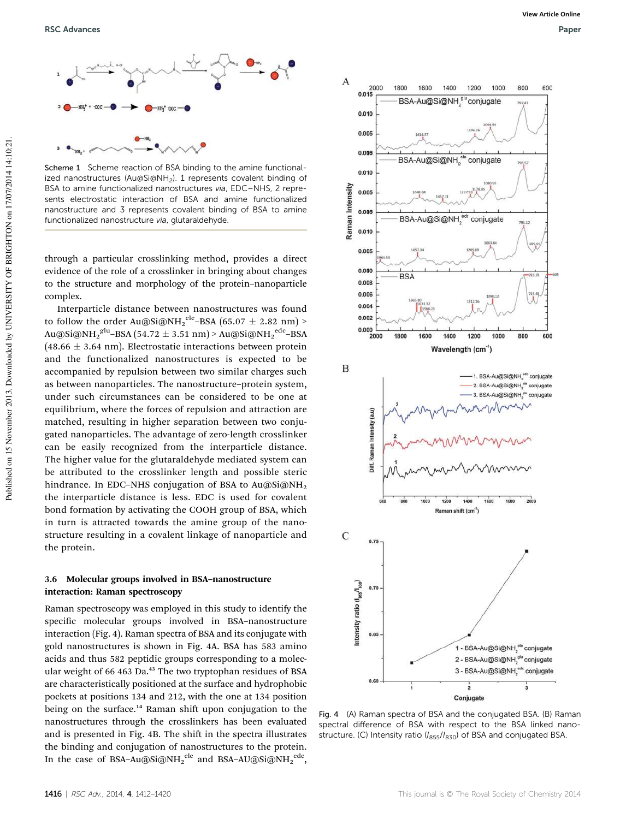

Scheme 1 Scheme reaction of BSA binding to the amine functionalized nanostructures (Au@Si@NH<sub>2</sub>). 1 represents covalent binding of BSA to amine functionalized nanostructures via, EDC–NHS, 2 represents electrostatic interaction of BSA and amine functionalized nanostructure and 3 represents covalent binding of BSA to amine functionalized nanostructure via, glutaraldehyde.

through a particular crosslinking method, provides a direct evidence of the role of a crosslinker in bringing about changes to the structure and morphology of the protein–nanoparticle complex.

Interparticle distance between nanostructures was found to follow the order Au@Si@NH $_2^{\,\mathrm{ele}}$ –BSA (65.07  $\pm$  2.82 nm) > Au@Si@NH $_2^{\rm glu}$ –BSA (54.72  $\pm$  3.51 nm) > Au@Si@NH $_2^{\rm edc}$ –BSA  $(48.66 \pm 3.64 \text{ nm})$ . Electrostatic interactions between protein and the functionalized nanostructures is expected to be accompanied by repulsion between two similar charges such as between nanoparticles. The nanostructure–protein system, under such circumstances can be considered to be one at equilibrium, where the forces of repulsion and attraction are matched, resulting in higher separation between two conjugated nanoparticles. The advantage of zero-length crosslinker can be easily recognized from the interparticle distance. The higher value for the glutaraldehyde mediated system can be attributed to the crosslinker length and possible steric hindrance. In EDC-NHS conjugation of BSA to Au@Si@NH<sub>2</sub> the interparticle distance is less. EDC is used for covalent bond formation by activating the COOH group of BSA, which in turn is attracted towards the amine group of the nanostructure resulting in a covalent linkage of nanoparticle and the protein.

#### 3.6 Molecular groups involved in BSA–nanostructure interaction: Raman spectroscopy

Raman spectroscopy was employed in this study to identify the specific molecular groups involved in BSA-nanostructure interaction (Fig. 4). Raman spectra of BSA and its conjugate with gold nanostructures is shown in Fig. 4A. BSA has 583 amino acids and thus 582 peptidic groups corresponding to a molecular weight of 66 463 Da.<sup>43</sup> The two tryptophan residues of BSA are characteristically positioned at the surface and hydrophobic pockets at positions 134 and 212, with the one at 134 position being on the surface.<sup>14</sup> Raman shift upon conjugation to the nanostructures through the crosslinkers has been evaluated and is presented in Fig. 4B. The shift in the spectra illustrates the binding and conjugation of nanostructures to the protein. In the case of BSA–Au@Si@NH2 $^{\rm ele}$  and BSA–AU@Si@NH2 $^{\rm ele}$ ,



Fig. 4 (A) Raman spectra of BSA and the conjugated BSA. (B) Raman spectral difference of BSA with respect to the BSA linked nanostructure. (C) Intensity ratio ( $I_{855}/I_{830}$ ) of BSA and conjugated BSA.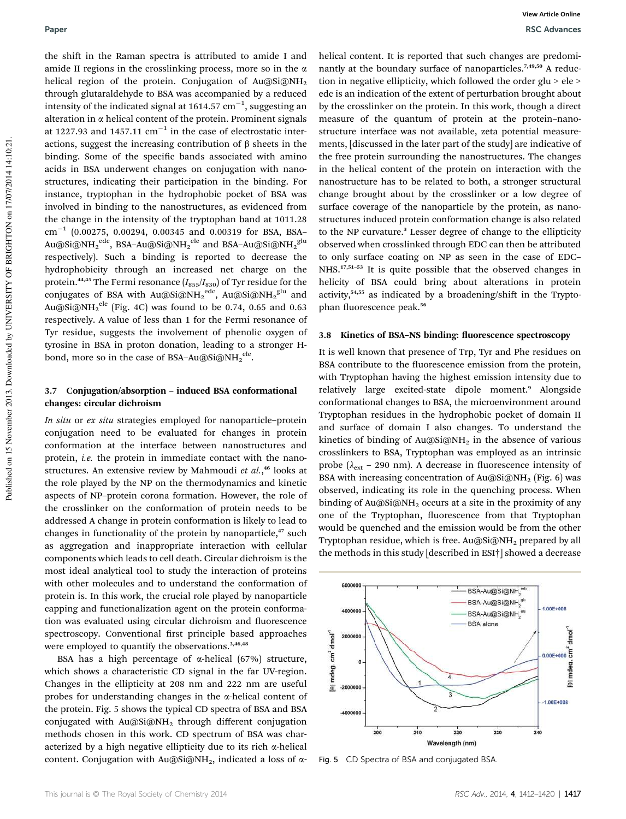the shift in the Raman spectra is attributed to amide I and amide II regions in the crosslinking process, more so in the  $\alpha$ helical region of the protein. Conjugation of Au@Si@NH<sub>2</sub> through glutaraldehyde to BSA was accompanied by a reduced intensity of the indicated signal at 1614.57  $\rm cm^{-1},$  suggesting an alteration in  $\alpha$  helical content of the protein. Prominent signals at 1227.93 and 1457.11  $\text{cm}^{-1}$  in the case of electrostatic interactions, suggest the increasing contribution of  $\beta$  sheets in the binding. Some of the specific bands associated with amino acids in BSA underwent changes on conjugation with nanostructures, indicating their participation in the binding. For instance, tryptophan in the hydrophobic pocket of BSA was involved in binding to the nanostructures, as evidenced from the change in the intensity of the tryptophan band at 1011.28  $\rm cm^{-1}$  (0.00275, 0.00294, 0.00345 and 0.00319 for BSA, BSA-Au@Si@NH2 $^{\rm edc}$ , BSA–Au@Si@NH2 $^{\rm ele}$  and BSA–Au@Si@NH2 $^{\rm glu}$ respectively). Such a binding is reported to decrease the hydrophobicity through an increased net charge on the protein.<sup>44,45</sup> The Fermi resonance ( $I_{855}/I_{830}$ ) of Tyr residue for the conjugates of BSA with Au@Si@NH2 $^{\rm edc}$ , Au@Si@NH2 $^{\rm glu}$  and Au@Si@NH $_2^{\, \text{ele}}$  (Fig. 4C) was found to be 0.74, 0.65 and 0.63 respectively. A value of less than 1 for the Fermi resonance of Tyr residue, suggests the involvement of phenolic oxygen of tyrosine in BSA in proton donation, leading to a stronger Hbond, more so in the case of BSA–Au@Si@NH2 $^{\rm ele}$ .

#### 3.7 Conjugation/absorption – induced BSA conformational changes: circular dichroism

*In situ* or *ex situ* strategies employed for nanoparticle–protein conjugation need to be evaluated for changes in protein conformation at the interface between nanostructures and protein, *i.e.* the protein in immediate contact with the nanostructures. An extensive review by Mahmoudi *et al.*, <sup>46</sup> looks at the role played by the NP on the thermodynamics and kinetic aspects of NP–protein corona formation. However, the role of the crosslinker on the conformation of protein needs to be addressed A change in protein conformation is likely to lead to changes in functionality of the protein by nanoparticle,<sup>47</sup> such as aggregation and inappropriate interaction with cellular components which leads to cell death. Circular dichroism is the most ideal analytical tool to study the interaction of proteins with other molecules and to understand the conformation of protein is. In this work, the crucial role played by nanoparticle capping and functionalization agent on the protein conformation was evaluated using circular dichroism and fluorescence spectroscopy. Conventional first principle based approaches were employed to quantify the observations.<sup>3,46,48</sup>

BSA has a high percentage of  $\alpha$ -helical (67%) structure, which shows a characteristic CD signal in the far UV-region. Changes in the ellipticity at 208 nm and 222 nm are useful probes for understanding changes in the  $\alpha$ -helical content of the protein. Fig. 5 shows the typical CD spectra of BSA and BSA conjugated with  $Au@Si@NH<sub>2</sub>$  through different conjugation methods chosen in this work. CD spectrum of BSA was characterized by a high negative ellipticity due to its rich  $\alpha$ -helical content. Conjugation with Au@Si@NH<sub>2</sub>, indicated a loss of  $\alpha$ - helical content. It is reported that such changes are predominantly at the boundary surface of nanoparticles.<sup>7,49,50</sup> A reduction in negative ellipticity, which followed the order glu > ele > edc is an indication of the extent of perturbation brought about by the crosslinker on the protein. In this work, though a direct measure of the quantum of protein at the protein–nanostructure interface was not available, zeta potential measurements, [discussed in the later part of the study] are indicative of the free protein surrounding the nanostructures. The changes in the helical content of the protein on interaction with the nanostructure has to be related to both, a stronger structural change brought about by the crosslinker or a low degree of surface coverage of the nanoparticle by the protein, as nanostructures induced protein conformation change is also related to the NP curvature.<sup>3</sup> Lesser degree of change to the ellipticity observed when crosslinked through EDC can then be attributed to only surface coating on NP as seen in the case of EDC– NHS.<sup>17,51-53</sup> It is quite possible that the observed changes in helicity of BSA could bring about alterations in protein activity, $54,55$  as indicated by a broadening/shift in the Tryptophan fluorescence peak.<sup>56</sup>

#### 3.8 Kinetics of BSA-NS binding: fluorescence spectroscopy

It is well known that presence of Trp, Tyr and Phe residues on BSA contribute to the fluorescence emission from the protein, with Tryptophan having the highest emission intensity due to relatively large excited-state dipole moment.<sup>9</sup> Alongside conformational changes to BSA, the microenvironment around Tryptophan residues in the hydrophobic pocket of domain II and surface of domain I also changes. To understand the kinetics of binding of  $Au@Si@NH<sub>2</sub>$  in the absence of various crosslinkers to BSA, Tryptophan was employed as an intrinsic probe ( $\lambda_{\text{ext}}$  – 290 nm). A decrease in fluorescence intensity of BSA with increasing concentration of Au@Si@NH<sub>2</sub> (Fig. 6) was observed, indicating its role in the quenching process. When binding of Au@Si@NH<sub>2</sub> occurs at a site in the proximity of any one of the Tryptophan, fluorescence from that Tryptophan would be quenched and the emission would be from the other Tryptophan residue, which is free.  $Au@Si@NH_2$  prepared by all the methods in this study [described in ESI†] showed a decrease



Fig. 5 CD Spectra of BSA and conjugated BSA.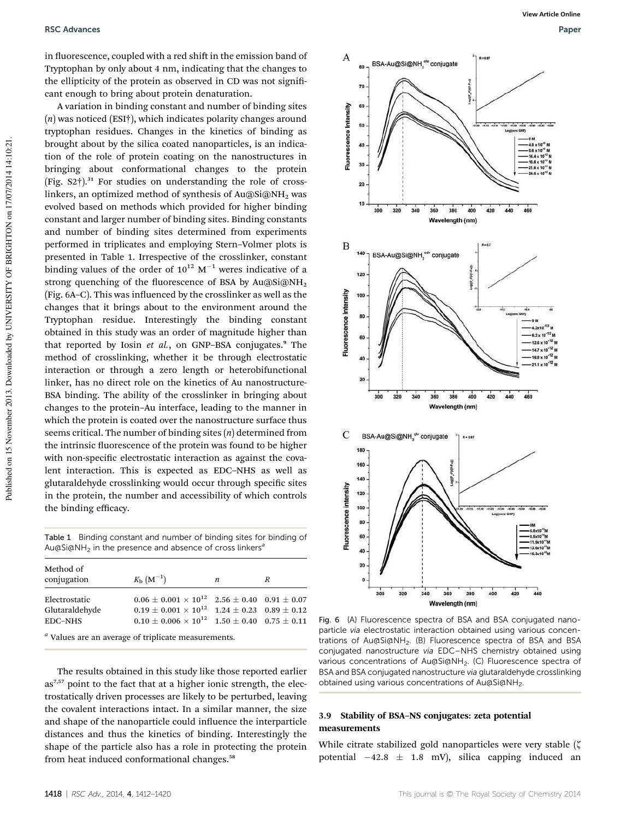in fluorescence, coupled with a red shift in the emission band of Tryptophan by only about 4 nm, indicating that the changes to the ellipticity of the protein as observed in CD was not significant enough to bring about protein denaturation.

A variation in binding constant and number of binding sites (*n*) was noticed (ESI†), which indicates polarity changes around tryptophan residues. Changes in the kinetics of binding as brought about by the silica coated nanoparticles, is an indication of the role of protein coating on the nanostructures in bringing about conformational changes to the protein (Fig.  $S2^{\dagger}$ ).<sup>31</sup> For studies on understanding the role of crosslinkers, an optimized method of synthesis of Au@Si@NH<sub>2</sub> was evolved based on methods which provided for higher binding constant and larger number of binding sites. Binding constants and number of binding sites determined from experiments performed in triplicates and employing Stern–Volmer plots is presented in Table 1. Irrespective of the crosslinker, constant binding values of the order of  $10^{12}$  M<sup>-1</sup> weres indicative of a strong quenching of the fluorescence of BSA by Au@Si@NH<sub>2</sub> (Fig.  $6A-C$ ). This was influenced by the crosslinker as well as the changes that it brings about to the environment around the Tryptophan residue. Interestingly the binding constant obtained in this study was an order of magnitude higher than that reported by Iosin *et al.*, on GNP-BSA conjugates.<sup>9</sup> The method of crosslinking, whether it be through electrostatic interaction or through a zero length or heterobifunctional linker, has no direct role on the kinetics of Au nanostructure-BSA binding. The ability of the crosslinker in bringing about changes to the protein–Au interface, leading to the manner in which the protein is coated over the nanostructure surface thus seems critical. The number of binding sites (*n*) determined from the intrinsic fluorescence of the protein was found to be higher with non-specific electrostatic interaction as against the covalent interaction. This is expected as EDC–NHS as well as glutaraldehyde crosslinking would occur through specific sites in the protein, the number and accessibility of which controls the binding efficacy.

Table 1 Binding constant and number of binding sites for binding of Au $\alpha$ Si $\alpha$ NH<sub>2</sub> in the presence and absence of cross linkers<sup>a</sup>

| Method of<br>conjugation                          | $K_{\rm b}$ $(M^{-1})$                                                                                                                                                                                | n | R |
|---------------------------------------------------|-------------------------------------------------------------------------------------------------------------------------------------------------------------------------------------------------------|---|---|
| Electrostatic<br>Glutaraldehyde<br><b>EDC-NHS</b> | $0.06 \pm 0.001 \times 10^{12}$ 2.56 $\pm$ 0.40 0.91 $\pm$ 0.07<br>$0.19 \pm 0.001 \times 10^{12}$ 1.24 $\pm$ 0.23 0.89 $\pm$ 0.12<br>$0.10 \pm 0.006 \times 10^{12}$ $1.50 \pm 0.40$ $0.75 \pm 0.11$ |   |   |

*a* Values are an average of triplicate measurements.

The results obtained in this study like those reported earlier as<sup>7,57</sup> point to the fact that at a higher ionic strength, the electrostatically driven processes are likely to be perturbed, leaving the covalent interactions intact. In a similar manner, the size and shape of the nanoparticle could influence the interparticle distances and thus the kinetics of binding. Interestingly the shape of the particle also has a role in protecting the protein from heat induced conformational changes.<sup>58</sup>



Fig. 6 (A) Fluorescence spectra of BSA and BSA conjugated nanoparticle via electrostatic interaction obtained using various concentrations of Au@Si@NH<sub>2</sub>. (B) Fluorescence spectra of BSA and BSA conjugated nanostructure via EDC–NHS chemistry obtained using various concentrations of Au@Si@NH<sub>2</sub>. (C) Fluorescence spectra of BSA and BSA conjugated nanostructure via glutaraldehyde crosslinking obtained using various concentrations of Au@Si@NH2.

#### 3.9 Stability of BSA–NS conjugates: zeta potential measurements

While citrate stabilized gold nanoparticles were very stable  $(\zeta)$ potential  $-42.8 \pm 1.8$  mV), silica capping induced an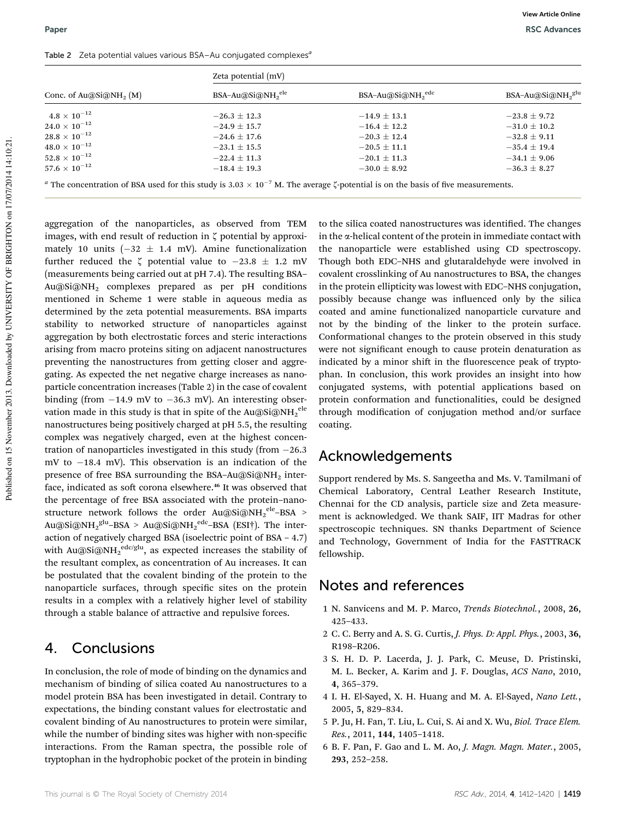| Conc. of Au@Si@NH <sub>2</sub> $(M)$ | Zeta potential (mV) |                    |                    |  |
|--------------------------------------|---------------------|--------------------|--------------------|--|
|                                      | $BSA-Au@Si@NH2ele$  | $BSA-Au@Si@NH2ede$ | $BSA-Au@Si@NH2glu$ |  |
| $4.8\times10^{-12}$                  | $-26.3 \pm 12.3$    | $-14.9 \pm 13.1$   | $-23.8 \pm 9.72$   |  |
| $24.0 \times 10^{-12}$               | $-24.9 + 15.7$      | $-16.4 + 12.2$     | $-31.0 \pm 10.2$   |  |
| $28.8\times10^{-12}$                 | $-24.6 \pm 17.6$    | $-20.3 \pm 12.4$   | $-32.8 \pm 9.11$   |  |
| $48.0 \times 10^{-12}$               | $-23.1 \pm 15.5$    | $-20.5 \pm 11.1$   | $-35.4 \pm 19.4$   |  |
| $52.8 \times 10^{-12}$               | $-22.4 \pm 11.3$    | $-20.1 \pm 11.3$   | $-34.1 \pm 9.06$   |  |
| $57.6 \times 10^{-12}$               | $-18.4 \pm 19.3$    | $-30.0 \pm 8.92$   | $-36.3 \pm 8.27$   |  |

aggregation of the nanoparticles, as observed from TEM images, with end result of reduction in  $\zeta$  potential by approximately 10 units  $(-32 \pm 1.4 \text{ mV})$ . Amine functionalization further reduced the  $\zeta$  potential value to  $-23.8 \pm 1.2$  mV (measurements being carried out at pH 7.4). The resulting BSA– Au@Si@NH<sup>2</sup> complexes prepared as per pH conditions mentioned in Scheme 1 were stable in aqueous media as determined by the zeta potential measurements. BSA imparts stability to networked structure of nanoparticles against aggregation by both electrostatic forces and steric interactions arising from macro proteins siting on adjacent nanostructures preventing the nanostructures from getting closer and aggregating. As expected the net negative charge increases as nanoparticle concentration increases (Table 2) in the case of covalent binding (from  $-14.9$  mV to  $-36.3$  mV). An interesting observation made in this study is that in spite of the Au@Si@NH $_2^{\,\mathrm{ele}}$ nanostructures being positively charged at pH 5.5, the resulting complex was negatively charged, even at the highest concentration of nanoparticles investigated in this study (from  $-26.3$ ) mV to  $-18.4$  mV). This observation is an indication of the presence of free BSA surrounding the BSA-Au@Si@NH<sub>2</sub> interface, indicated as soft corona elsewhere.<sup>46</sup> It was observed that the percentage of free BSA associated with the protein–nanostructure network follows the order Au@Si@NH2<sup>ele\_</sup>BSA > Au@Si@NH2 $^{\rm glu}\textrm{-BSA}$  > Au@Si@NH2 $^{\rm edc}\textrm{-BSA}$  (ESI†). The interaction of negatively charged BSA (isoelectric point of BSA – 4.7) with Au@Si@NH2 $\rm ^{edc/glu},$  as expected increases the stability of the resultant complex, as concentration of Au increases. It can be postulated that the covalent binding of the protein to the nanoparticle surfaces, through specific sites on the protein results in a complex with a relatively higher level of stability through a stable balance of attractive and repulsive forces.

### 4. Conclusions

In conclusion, the role of mode of binding on the dynamics and mechanism of binding of silica coated Au nanostructures to a model protein BSA has been investigated in detail. Contrary to expectations, the binding constant values for electrostatic and covalent binding of Au nanostructures to protein were similar, while the number of binding sites was higher with non-specific interactions. From the Raman spectra, the possible role of tryptophan in the hydrophobic pocket of the protein in binding

to the silica coated nanostructures was identified. The changes in the a-helical content of the protein in immediate contact with the nanoparticle were established using CD spectroscopy. Though both EDC–NHS and glutaraldehyde were involved in covalent crosslinking of Au nanostructures to BSA, the changes in the protein ellipticity was lowest with EDC–NHS conjugation, possibly because change was influenced only by the silica coated and amine functionalized nanoparticle curvature and not by the binding of the linker to the protein surface. Conformational changes to the protein observed in this study were not significant enough to cause protein denaturation as indicated by a minor shift in the fluorescence peak of tryptophan. In conclusion, this work provides an insight into how conjugated systems, with potential applications based on protein conformation and functionalities, could be designed through modification of conjugation method and/or surface coating.

### Acknowledgements

Support rendered by Ms. S. Sangeetha and Ms. V. Tamilmani of Chemical Laboratory, Central Leather Research Institute, Chennai for the CD analysis, particle size and Zeta measurement is acknowledged. We thank SAIF, IIT Madras for other spectroscopic techniques. SN thanks Department of Science and Technology, Government of India for the FASTTRACK fellowship.

### Notes and references

- 1 N. Sanvicens and M. P. Marco, *Trends Biotechnol.*, 2008, 26, 425–433.
- 2 C. C. Berry and A. S. G. Curtis, *J. Phys. D: Appl. Phys.*, 2003, 36, R198–R206.
- 3 S. H. D. P. Lacerda, J. J. Park, C. Meuse, D. Pristinski, M. L. Becker, A. Karim and J. F. Douglas, *ACS Nano*, 2010, 4, 365–379.
- 4 I. H. El-Sayed, X. H. Huang and M. A. El-Sayed, *Nano Lett.*, 2005, 5, 829–834.
- 5 P. Ju, H. Fan, T. Liu, L. Cui, S. Ai and X. Wu, *Biol. Trace Elem. Res.*, 2011, 144, 1405–1418.
- 6 B. F. Pan, F. Gao and L. M. Ao, *J. Magn. Magn. Mater.*, 2005, 293, 252–258.